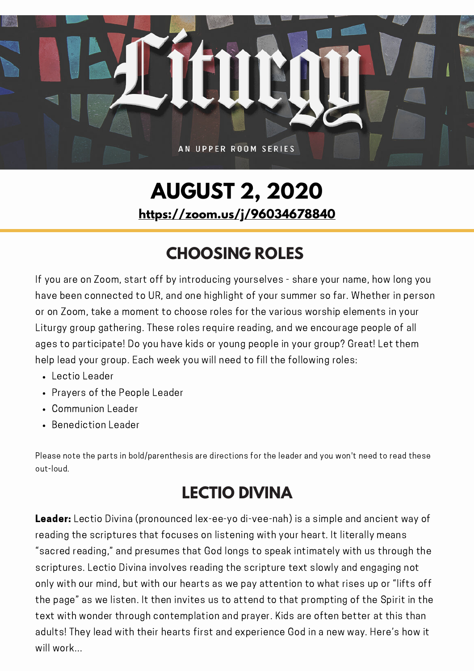

# **AUGUST 2, 2020 <https://zoom.us/j/96034678840>**

## **CHOOSING ROLES**

If you are on Zoom, start off by introducing yourselves - share your name, how long you have been connected to UR, and one highlight of your summer so far. Whether in person or on Zoom, take a moment to choose roles for the various worship elements in your Liturgy group gathering. These roles require reading, and we encourage people of all ages to participate! Do you have kids or young people in your group? Great! Let them help lead your group. Each week you will need to fill the following roles:

- Lectio Leader
- Prayers of the People Leader
- Communion Leader
- Benediction Leader

Please note the parts in bold/parenthesis are directions for the leader and you won't need to read these out-loud.

## **LECTIO DIVINA**

Leader: Lectio Divina (pronounced lex-ee-yo di-vee-nah) is a simple and ancient way of reading the scriptures that focuses on listening with your heart. It literally means "sacred reading," and presumes that God longs to speak intimately with us through the scriptures. Lectio Divina involves reading the scripture text slowly and engaging not only with our mind, but with our hearts as we pay attention to what rises up or "lifts off the page" as we listen. It then invites us to attend to that prompting of the Spirit in the text with wonder through contemplation and prayer. Kids are often better at this than adults! They lead with their hearts first and experience God in a new way. Here's how it will work...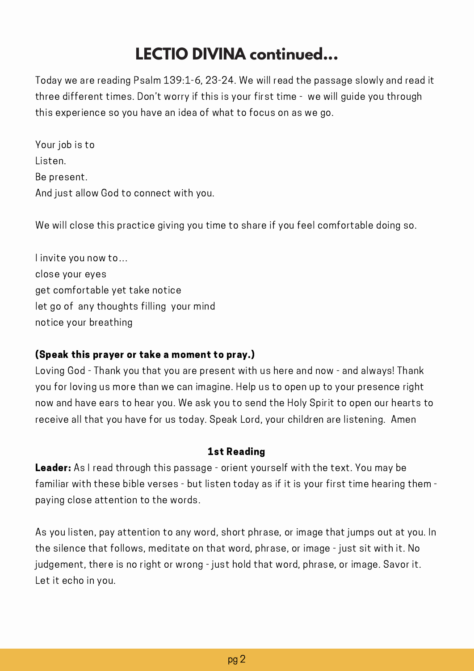Today we are reading Psalm 139:1-6, 23-24. We will read the passage slowly and read it three different times. Don't worry if this is your first time - we will guide you through this experience so you have an idea of what to focus on as we go.

Your job is to Listen. Be present. And just allow God to connect with you.

We will close this practice giving you time to share if you feel comfortable doing so.

I invite you now to… close your eyes get comfortable yet take notice let go of any thoughts filling your mind notice your breathing

#### (Speak this prayer or take a moment to pray.)

Loving God - Thank you that you are present with us here and now - and always! Thank you for loving us more than we can imagine. Help us to open up to your presence right now and have ears to hear you. We ask you to send the Holy Spirit to open our hearts to receive all that you have for us today. Speak Lord, your children are listening. Amen

#### 1st Reading

**Leader:** As I read through this passage - orient yourself with the text. You may be familiar with these bible verses - but listen today as if it is your first time hearing them paying close attention to the words.

As you listen, pay attention to any word, short phrase, or image that jumps out at you. In the silence that follows, meditate on that word, phrase, or image - just sit with it. No judgement, there is no right or wrong - just hold that word, phrase, or image. Savor it. Let it echo in you.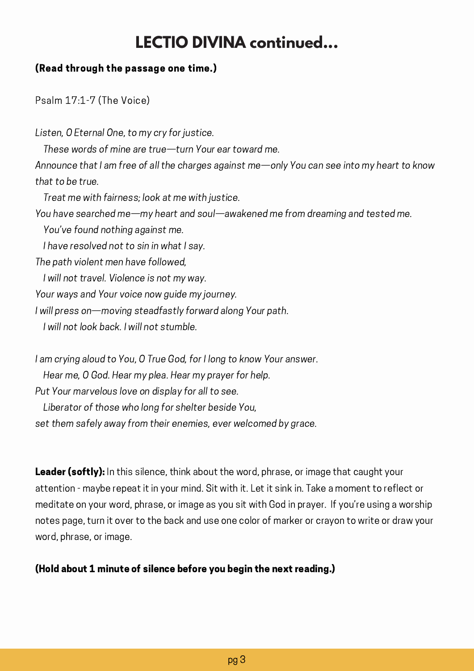### (Read through the passage one time.)

Psalm 17:1-7 (The Voice)

Listen, O Eternal One, to my cry for justice. These words of mine are true—turn Your ear toward me. Announce that I am free of all the charges against me—only You can see into my heart to know that to be true. Treat me with fairness; look at me with justice. You have searched me—my heart and soul—awakened me from dreaming and tested me. You've found nothing against me. I have resolved not to sin in what I say. The path violent men have followed, I will not travel. Violence is not my way. Your ways and Your voice now guide my journey. I will press on—moving steadfastly forward along Your path. I will not look back. I will not stumble.

I am crying aloud to You, O True God, for I long to know Your answer. Hear me, O God. Hear my plea. Hear my prayer for help. Put Your marvelous love on display for all to see. Liberator of those who long for shelter beside You, set them safely away from their enemies, ever welcomed by grace.

**Leader (softly):** In this silence, think about the word, phrase, or image that caught your attention - maybe repeat it in your mind. Sit with it. Let it sink in. Take a moment to reflect or meditate on your word, phrase, or image as you sit with God in prayer. If you're using a worship notes page, turn it over to the back and use one color of marker or crayon to write or draw your word, phrase, or image.

#### (Hold about 1 minute of silence before you begin the next reading.)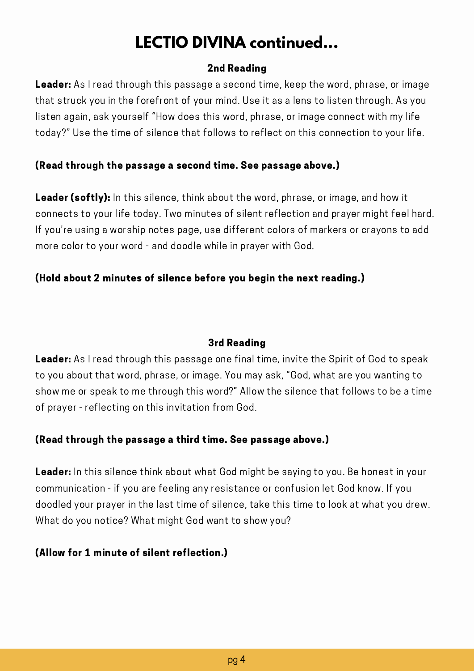#### 2nd Reading

Leader: As I read through this passage a second time, keep the word, phrase, or image that struck you in the forefront of your mind. Use it as a lens to listen through. As you listen again, ask yourself "How does this word, phrase, or image connect with my life today?" Use the time of silence that follows to reflect on this connection to your life.

### (Read through the passage a second time. See passage above.)

Leader (softly): In this silence, think about the word, phrase, or image, and how it connects to your life today. Two minutes of silent reflection and prayer might feel hard. If you're using a worship notes page, use different colors of markers or crayons to add more color to your word - and doodle while in prayer with God.

### (Hold about 2 minutes of silence before you begin the next reading.)

#### 3rd Reading

**Leader:** As I read through this passage one final time, invite the Spirit of God to speak to you about that word, phrase, or image. You may ask, "God, what are you wanting to show me or speak to me through this word?" Allow the silence that follows to be a time of prayer - reflecting on this invitation from God.

### (Read through the passage a third time. See passage above.)

**Leader:** In this silence think about what God might be saying to you. Be honest in your communication - if you are feeling any resistance or confusion let God know. If you doodled your prayer in the last time of silence, take this time to look at what you drew. What do you notice? What might God want to show you?

### (Allow for 1 minute of silent reflection.)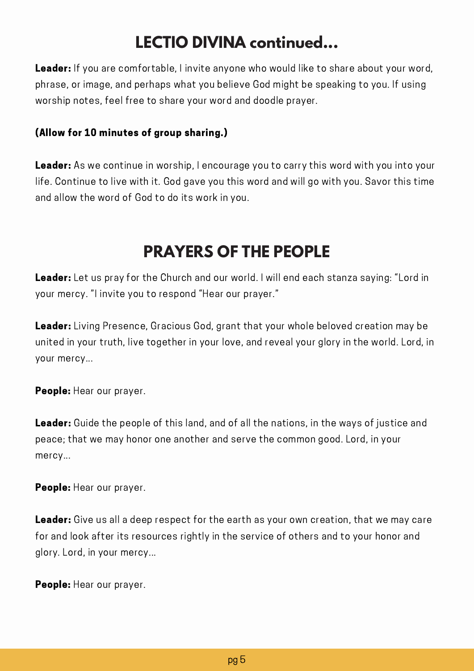Leader: If you are comfortable, I invite anyone who would like to share about your word, phrase, or image, and perhaps what you believe God might be speaking to you. If using worship notes, feel free to share your word and doodle prayer.

### (Allow for 10 minutes of group sharing.)

Leader: As we continue in worship, I encourage you to carry this word with you into your life. Continue to live with it. God gave you this word and will go with you. Savor this time and allow the word of God to do its work in you.

### **PRAYERS OF THE PEOPLE**

Leader: Let us pray for the Church and our world. I will end each stanza saying: "Lord in your mercy. "I invite you to respond "Hear our prayer."

**Leader:** Living Presence, Gracious God, grant that your whole beloved creation may be united in your truth, live together in your love, and reveal your glory in the world. Lord, in your mercy...

People: Hear our prayer.

Leader: Guide the people of this land, and of all the nations, in the ways of justice and peace; that we may honor one another and serve the common good. Lord, in your mercy...

People: Hear our prayer.

Leader: Give us all a deep respect for the earth as your own creation, that we may care for and look after its resources rightly in the service of others and to your honor and glory. Lord, in your mercy...

People: Hear our prayer.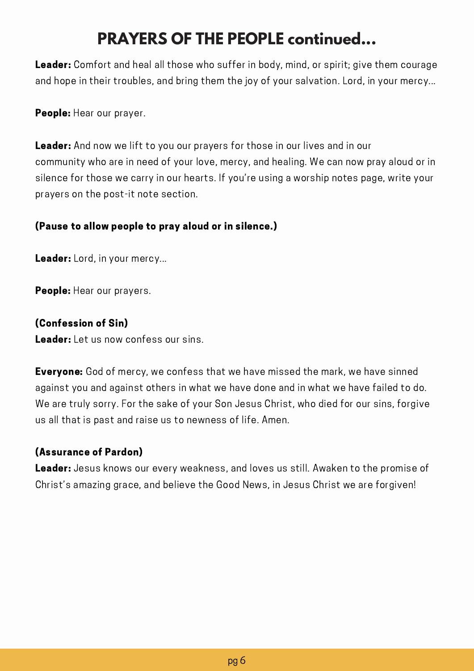## **PRAYERS OF THE PEOPLE continued...**

Leader: Comfort and heal all those who suffer in body, mind, or spirit; give them courage and hope in their troubles, and bring them the joy of your salvation. Lord, in your mercy...

People: Hear our prayer.

Leader: And now we lift to you our prayers for those in our lives and in our community who are in need of your love, mercy, and healing. We can now pray aloud or in silence for those we carry in our hearts. If you're using a worship notes page, write your prayers on the post-it note section.

### (Pause to allow people to pray aloud or in silence.)

Leader: Lord, in your mercy...

People: Hear our prayers.

### (Confession of Sin)

Leader: Let us now confess our sins.

**Everyone:** God of mercy, we confess that we have missed the mark, we have sinned against you and against others in what we have done and in what we have failed to do. We are truly sorry. For the sake of your Son Jesus Christ, who died for our sins, forgive us all that is past and raise us to newness of life. Amen.

### (Assurance of Pardon)

Leader: Jesus knows our every weakness, and loves us still. Awaken to the promise of Christ's amazing grace, and believe the Good News, in Jesus Christ we are forgiven!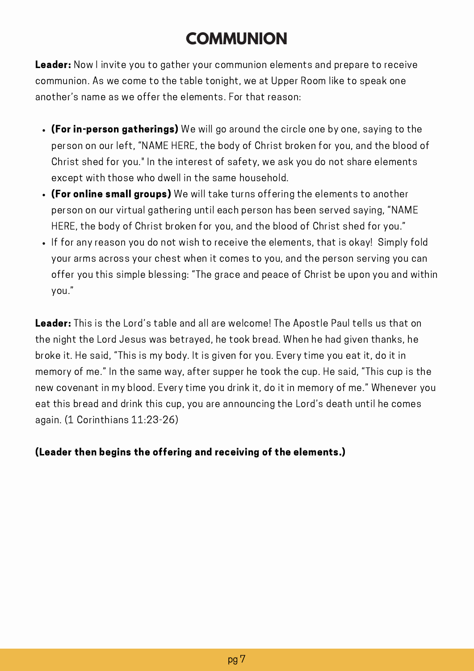## **COMMUNION**

**Leader:** Now I invite you to gather your communion elements and prepare to receive communion. As we come to the table tonight, we at Upper Room like to speak one another's name as we offer the elements. For that reason:

- (For in-person gatherings) We will go around the circle one by one, saying to the person on our left, "NAME HERE, the body of Christ broken for you, and the blood of Christ shed for you." In the interest of safety, we ask you do not share elements except with those who dwell in the same household.
- (For online small groups) We will take turns offering the elements to another person on our virtual gathering until each person has been served saying, "NAME HERE, the body of Christ broken for you, and the blood of Christ shed for you."
- If for any reason you do not wish to receive the elements, that is okay! Simply fold your arms across your chest when it comes to you, and the person serving you can offer you this simple blessing: "The grace and peace of Christ be upon you and within you."

Leader: This is the Lord's table and all are welcome! The Apostle Paul tells us that on the night the Lord Jesus was betrayed, he took bread. When he had given thanks, he broke it. He said, "This is my body. It is given for you. Every time you eat it, do it in memory of me." In the same way, after supper he took the cup. He said, "This cup is the new covenant in my blood. Every time you drink it, do it in memory of me." Whenever you eat this bread and drink this cup, you are announcing the Lord's death until he comes again. (1 Corinthians 11:23-26)

### (Leader then begins the offering and receiving of the elements.)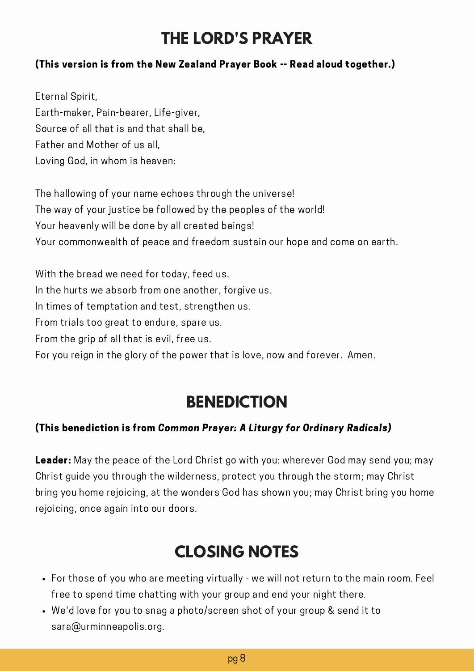### **THE LORD'S PRAYER**

### (This version is from the New Zealand Prayer Book -- Read aloud together.)

Eternal Spirit, Earth-maker, Pain-bearer, Life-giver, Source of all that is and that shall be, Father and Mother of us all, Loving God, in whom is heaven:

The hallowing of your name echoes through the universe! The way of your justice be followed by the peoples of the world! Your heavenly will be done by all created beings! Your commonwealth of peace and freedom sustain our hope and come on earth.

With the bread we need for today, feed us. In the hurts we absorb from one another, forgive us. In times of temptation and test, strengthen us. From trials too great to endure, spare us. From the grip of all that is evil, free us. For you reign in the glory of the power that is love, now and forever. Amen.

### **BENEDICTION**

#### (This benediction is from Common Prayer: A Liturgy for Ordinary Radicals)

Leader: May the peace of the Lord Christ go with you: wherever God may send you; may Christ guide you through the wilderness, protect you through the storm; may Christ bring you home rejoicing, at the wonders God has shown you; may Christ bring you home rejoicing, once again into our doors.

### **CLOSING NOTES**

- For those of you who are meeting virtually we will not return to the main room. Feel free to spend time chatting with your group and end your night there.
- We'd love for you to snag a photo/screen shot of your group & send it to sara@urminneapolis.org.